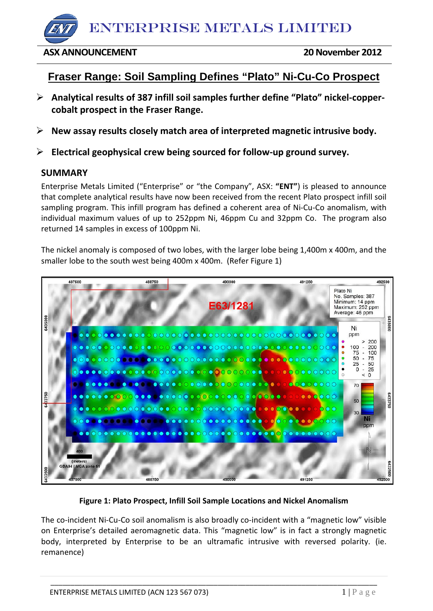# ENTERPRISE METALS LIMITED

# **ASX ANNOUNCEMENT 20November 2012**

# **Fraser Range: Soil Sampling Defines "Plato" Ni-Cu-Co Prospect**

- **Analytical results of 387 infill soil samples further define "Plato" nickel-coppercobalt prospect in the Fraser Range.**
- **New assay results closely match area of interpreted magnetic intrusive body.**
- **Electrical geophysical crew being sourced for follow-up ground survey.**

# **SUMMARY**

Enterprise Metals Limited ("Enterprise" or "the Company", ASX: **"ENT"**) is pleased to announce that complete analytical results have now been received from the recent Plato prospect infill soil sampling program. This infill program has defined a coherent area of Ni-Cu-Co anomalism, with individual maximum values of up to 252ppm Ni, 46ppm Cu and 32ppm Co. The program also returned 14 samples in excess of 100ppm Ni.

The nickel anomaly is composed of two lobes, with the larger lobe being 1,400m x 400m, and the smaller lobe to the south west being 400m x 400m. (Refer Figure 1)



### **Figure 1: Plato Prospect, Infill Soil Sample Locations and Nickel Anomalism**

The co-incident Ni-Cu-Co soil anomalism is also broadly co-incident with a "magnetic low" visible on Enterprise's detailed aeromagnetic data. This "magnetic low" is in fact a strongly magnetic body, interpreted by Enterprise to be an ultramafic intrusive with reversed polarity. (ie. remanence)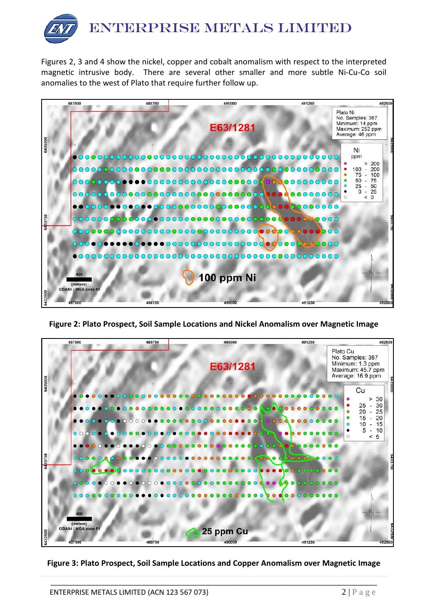

Figures 2, 3 and 4 show the nickel, copper and cobalt anomalism with respect to the interpreted magnetic intrusive body. There are several other smaller and more subtle Ni-Cu-Co soil anomalies to the west of Plato that require further follow up.



**Figure 2: Plato Prospect, Soil Sample Locations and Nickel Anomalism over Magnetic Image**



**Figure 3: Plato Prospect, Soil Sample Locations and Copper Anomalism over Magnetic Image**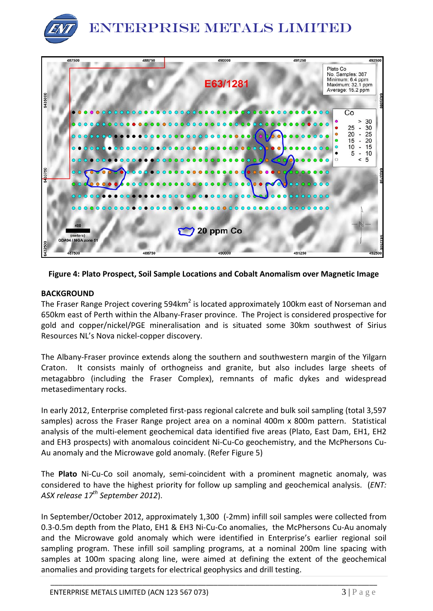



#### **Figure 4: Plato Prospect, Soil Sample Locations and Cobalt Anomalism over Magnetic Image**

#### **BACKGROUND**

The Fraser Range Project covering 594km<sup>2</sup> is located approximately 100km east of Norseman and 650km east of Perth within the Albany-Fraser province. The Project is considered prospective for gold and copper/nickel/PGE mineralisation and is situated some 30km southwest of Sirius Resources NL's Nova nickel-copper discovery.

The Albany-Fraser province extends along the southern and southwestern margin of the Yilgarn Craton. It consists mainly of orthogneiss and granite, but also includes large sheets of metagabbro (including the Fraser Complex), remnants of mafic dykes and widespread metasedimentary rocks.

In early 2012, Enterprise completed first-pass regional calcrete and bulk soil sampling (total 3,597 samples) across the Fraser Range project area on a nominal 400m x 800m pattern. Statistical analysis of the multi-element geochemical data identified five areas (Plato, East Dam, EH1, EH2 and EH3 prospects) with anomalous coincident Ni-Cu-Co geochemistry, and the McPhersons Cu-Au anomaly and the Microwave gold anomaly. (Refer Figure 5)

The **Plato** Ni-Cu-Co soil anomaly, semi-coincident with a prominent magnetic anomaly, was considered to have the highest priority for follow up sampling and geochemical analysis. (*ENT: ASX release 17th September 2012*).

In September/October 2012, approximately 1,300 (-2mm) infill soil samples were collected from 0.3-0.5m depth from the Plato, EH1 & EH3 Ni-Cu-Co anomalies, the McPhersons Cu-Au anomaly and the Microwave gold anomaly which were identified in Enterprise's earlier regional soil sampling program. These infill soil sampling programs, at a nominal 200m line spacing with samples at 100m spacing along line, were aimed at defining the extent of the geochemical anomalies and providing targets for electrical geophysics and drill testing.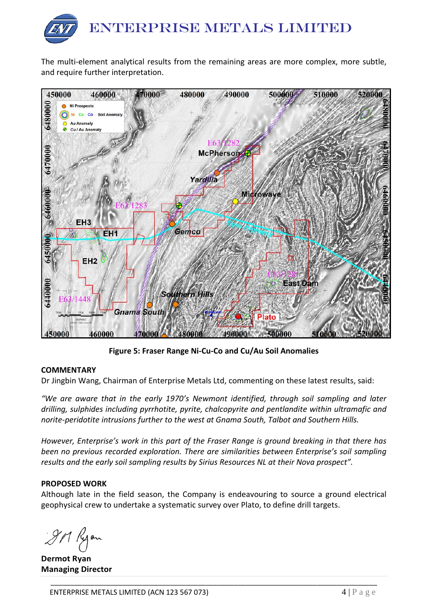

The multi-element analytical results from the remaining areas are more complex, more subtle, and require further interpretation.



**Figure 5: Fraser Range Ni-Cu-Co and Cu/Au Soil Anomalies** 

### **COMMENTARY**

Dr Jingbin Wang, Chairman of Enterprise Metals Ltd, commenting on these latest results, said:

*"We are aware that in the early 1970's Newmont identified, through soil sampling and later drilling, sulphides including pyrrhotite, pyrite, chalcopyrite and pentlandite within ultramafic and norite-peridotite intrusions further to the west at Gnama South, Talbot and Southern Hills.*

*However, Enterprise's work in this part of the Fraser Range is ground breaking in that there has been no previous recorded exploration. There are similarities between Enterprise's soil sampling results and the early soil sampling results by Sirius Resources NL at their Nova prospect".*

### **PROPOSED WORK**

Although late in the field season, the Company is endeavouring to source a ground electrical geophysical crew to undertake a systematic survey over Plato, to define drill targets.

**Dermot Ryan Managing Director**